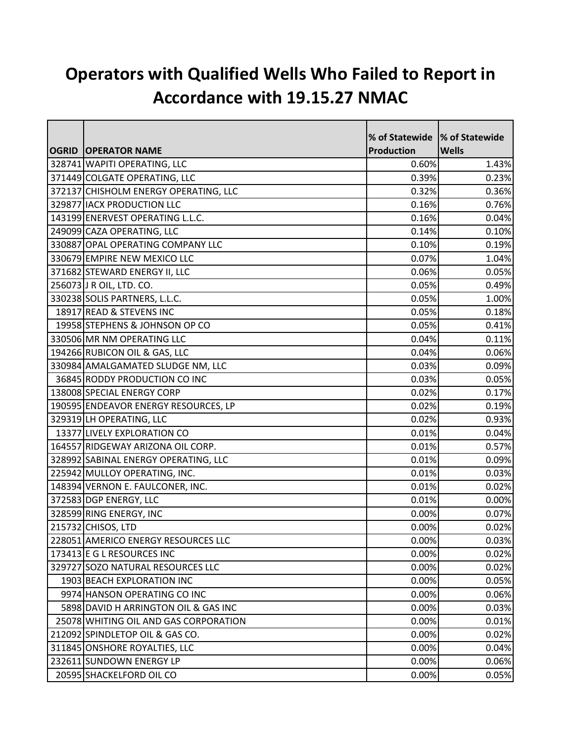## **Operators with Qualified Wells Who Failed to Report in Accordance with 19.15.27 NMAC**

|                                       | % of Statewide  % of Statewide |              |
|---------------------------------------|--------------------------------|--------------|
| <b>OGRID OPERATOR NAME</b>            | Production                     | <b>Wells</b> |
| 328741 WAPITI OPERATING, LLC          | 0.60%                          | 1.43%        |
| 371449 COLGATE OPERATING, LLC         | 0.39%                          | 0.23%        |
| 372137 CHISHOLM ENERGY OPERATING, LLC | 0.32%                          | 0.36%        |
| 329877 IACX PRODUCTION LLC            | 0.16%                          | 0.76%        |
| 143199 ENERVEST OPERATING L.L.C.      | 0.16%                          | 0.04%        |
| 249099 CAZA OPERATING, LLC            | 0.14%                          | 0.10%        |
| 330887 OPAL OPERATING COMPANY LLC     | 0.10%                          | 0.19%        |
| 330679 EMPIRE NEW MEXICO LLC          | 0.07%                          | 1.04%        |
| 371682 STEWARD ENERGY II, LLC         | 0.06%                          | 0.05%        |
| 256073 J R OIL, LTD. CO.              | 0.05%                          | 0.49%        |
| 330238 SOLIS PARTNERS, L.L.C.         | 0.05%                          | 1.00%        |
| 18917 READ & STEVENS INC              | 0.05%                          | 0.18%        |
| 19958 STEPHENS & JOHNSON OP CO        | 0.05%                          | 0.41%        |
| 330506 MR NM OPERATING LLC            | 0.04%                          | 0.11%        |
| 194266 RUBICON OIL & GAS, LLC         | 0.04%                          | 0.06%        |
| 330984 AMALGAMATED SLUDGE NM, LLC     | 0.03%                          | 0.09%        |
| 36845 RODDY PRODUCTION CO INC         | 0.03%                          | 0.05%        |
| 138008 SPECIAL ENERGY CORP            | 0.02%                          | 0.17%        |
| 190595 ENDEAVOR ENERGY RESOURCES, LP  | 0.02%                          | 0.19%        |
| 329319 LH OPERATING, LLC              | 0.02%                          | 0.93%        |
| 13377 LIVELY EXPLORATION CO           | 0.01%                          | 0.04%        |
| 164557 RIDGEWAY ARIZONA OIL CORP.     | 0.01%                          | 0.57%        |
| 328992 SABINAL ENERGY OPERATING, LLC  | 0.01%                          | 0.09%        |
| 225942 MULLOY OPERATING, INC.         | 0.01%                          | 0.03%        |
| 148394 VERNON E. FAULCONER, INC.      | 0.01%                          | 0.02%        |
| 372583 DGP ENERGY, LLC                | 0.01%                          | 0.00%        |
| 328599 RING ENERGY, INC               | 0.00%                          | 0.07%        |
| 215732 CHISOS, LTD                    | 0.00%                          | 0.02%        |
| 228051 AMERICO ENERGY RESOURCES LLC   | 0.00%                          | 0.03%        |
| 173413 E G L RESOURCES INC            | 0.00%                          | 0.02%        |
| 329727 SOZO NATURAL RESOURCES LLC     | 0.00%                          | 0.02%        |
| 1903 BEACH EXPLORATION INC            | 0.00%                          | 0.05%        |
| 9974 HANSON OPERATING CO INC          | 0.00%                          | 0.06%        |
| 5898 DAVID H ARRINGTON OIL & GAS INC  | 0.00%                          | 0.03%        |
| 25078 WHITING OIL AND GAS CORPORATION | 0.00%                          | 0.01%        |
| 212092 SPINDLETOP OIL & GAS CO.       | 0.00%                          | 0.02%        |
| 311845 ONSHORE ROYALTIES, LLC         | 0.00%                          | 0.04%        |
| 232611 SUNDOWN ENERGY LP              | 0.00%                          | 0.06%        |
| 20595 SHACKELFORD OIL CO              | 0.00%                          | 0.05%        |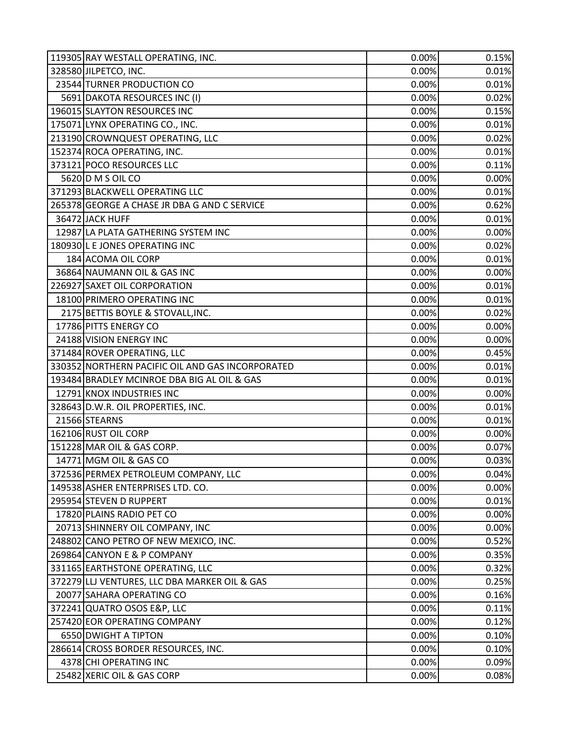| 119305 RAY WESTALL OPERATING, INC.               | 0.00% | 0.15% |
|--------------------------------------------------|-------|-------|
| 328580 JILPETCO, INC.                            | 0.00% | 0.01% |
| 23544 TURNER PRODUCTION CO                       | 0.00% | 0.01% |
| 5691 DAKOTA RESOURCES INC (I)                    | 0.00% | 0.02% |
| 196015 SLAYTON RESOURCES INC                     | 0.00% | 0.15% |
| 175071 LYNX OPERATING CO., INC.                  | 0.00% | 0.01% |
| 213190 CROWNQUEST OPERATING, LLC                 | 0.00% | 0.02% |
| 152374 ROCA OPERATING, INC.                      | 0.00% | 0.01% |
| 373121 POCO RESOURCES LLC                        | 0.00% | 0.11% |
| 5620 D M S OIL CO                                | 0.00% | 0.00% |
| 371293 BLACKWELL OPERATING LLC                   | 0.00% | 0.01% |
| 265378 GEORGE A CHASE JR DBA G AND C SERVICE     | 0.00% | 0.62% |
| 36472 JACK HUFF                                  | 0.00% | 0.01% |
| 12987 LA PLATA GATHERING SYSTEM INC              | 0.00% | 0.00% |
| 180930 L E JONES OPERATING INC                   | 0.00% | 0.02% |
| 184 ACOMA OIL CORP                               | 0.00% | 0.01% |
| 36864 NAUMANN OIL & GAS INC                      | 0.00% | 0.00% |
| 226927 SAXET OIL CORPORATION                     | 0.00% | 0.01% |
| 18100 PRIMERO OPERATING INC                      | 0.00% | 0.01% |
| 2175 BETTIS BOYLE & STOVALL, INC.                | 0.00% | 0.02% |
| 17786 PITTS ENERGY CO                            | 0.00% | 0.00% |
| 24188 VISION ENERGY INC                          | 0.00% | 0.00% |
| 371484 ROVER OPERATING, LLC                      | 0.00% | 0.45% |
| 330352 NORTHERN PACIFIC OIL AND GAS INCORPORATED | 0.00% | 0.01% |
| 193484 BRADLEY MCINROE DBA BIG AL OIL & GAS      | 0.00% | 0.01% |
| 12791 KNOX INDUSTRIES INC                        | 0.00% | 0.00% |
| 328643 D.W.R. OIL PROPERTIES, INC.               | 0.00% | 0.01% |
| 21566 STEARNS                                    | 0.00% | 0.01% |
| 162106 RUST OIL CORP                             | 0.00% | 0.00% |
| 151228 MAR OIL & GAS CORP.                       | 0.00% | 0.07% |
| 14771 MGM OIL & GAS CO                           | 0.00% | 0.03% |
| 372536 PERMEX PETROLEUM COMPANY, LLC             | 0.00% | 0.04% |
| 149538 ASHER ENTERPRISES LTD. CO.                | 0.00% | 0.00% |
| 295954 STEVEN D RUPPERT                          | 0.00% | 0.01% |
| 17820 PLAINS RADIO PET CO                        | 0.00% | 0.00% |
| 20713 SHINNERY OIL COMPANY, INC                  | 0.00% | 0.00% |
| 248802 CANO PETRO OF NEW MEXICO, INC.            | 0.00% | 0.52% |
| 269864 CANYON E & P COMPANY                      | 0.00% | 0.35% |
| 331165 EARTHSTONE OPERATING, LLC                 | 0.00% | 0.32% |
| 372279 LLJ VENTURES, LLC DBA MARKER OIL & GAS    | 0.00% | 0.25% |
| 20077 SAHARA OPERATING CO                        | 0.00% | 0.16% |
| 372241 QUATRO OSOS E&P, LLC                      | 0.00% | 0.11% |
| 257420 EOR OPERATING COMPANY                     | 0.00% | 0.12% |
| 6550 DWIGHT A TIPTON                             | 0.00% | 0.10% |
| 286614 CROSS BORDER RESOURCES, INC.              | 0.00% | 0.10% |
| 4378 CHI OPERATING INC                           | 0.00% | 0.09% |
| 25482 XERIC OIL & GAS CORP                       | 0.00% | 0.08% |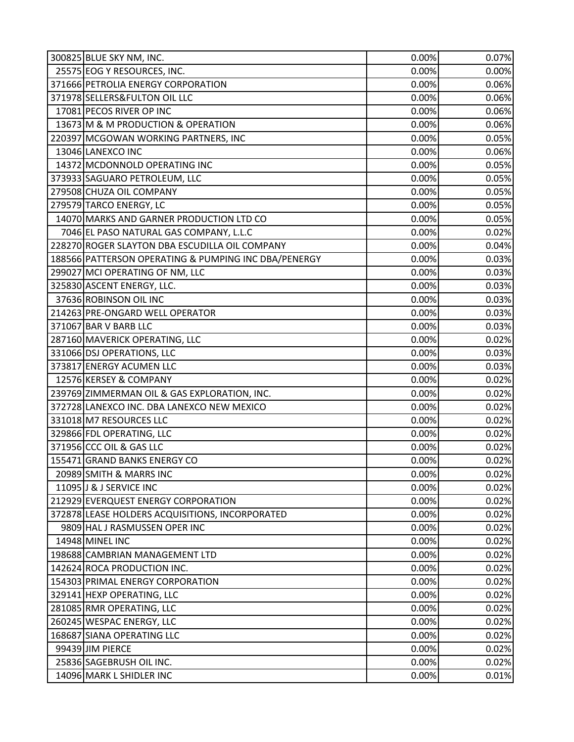| 300825 BLUE SKY NM, INC.                             | 0.00% | 0.07% |
|------------------------------------------------------|-------|-------|
| 25575 EOG Y RESOURCES, INC.                          | 0.00% | 0.00% |
| 371666 PETROLIA ENERGY CORPORATION                   | 0.00% | 0.06% |
| 371978 SELLERS& FULTON OIL LLC                       | 0.00% | 0.06% |
| 17081 PECOS RIVER OP INC                             | 0.00% | 0.06% |
| 13673 M & M PRODUCTION & OPERATION                   | 0.00% | 0.06% |
| 220397 MCGOWAN WORKING PARTNERS, INC                 | 0.00% | 0.05% |
| 13046 LANEXCO INC                                    | 0.00% | 0.06% |
| 14372 MCDONNOLD OPERATING INC                        | 0.00% | 0.05% |
| 373933 SAGUARO PETROLEUM, LLC                        | 0.00% | 0.05% |
| 279508 CHUZA OIL COMPANY                             | 0.00% | 0.05% |
| 279579 TARCO ENERGY, LC                              | 0.00% | 0.05% |
| 14070 MARKS AND GARNER PRODUCTION LTD CO             | 0.00% | 0.05% |
| 7046 EL PASO NATURAL GAS COMPANY, L.L.C              | 0.00% | 0.02% |
| 228270 ROGER SLAYTON DBA ESCUDILLA OIL COMPANY       | 0.00% | 0.04% |
| 188566 PATTERSON OPERATING & PUMPING INC DBA/PENERGY | 0.00% | 0.03% |
| 299027 MCI OPERATING OF NM, LLC                      | 0.00% | 0.03% |
| 325830 ASCENT ENERGY, LLC.                           | 0.00% | 0.03% |
| 37636 ROBINSON OIL INC                               | 0.00% | 0.03% |
| 214263 PRE-ONGARD WELL OPERATOR                      | 0.00% | 0.03% |
| 371067 BAR V BARB LLC                                | 0.00% | 0.03% |
| 287160 MAVERICK OPERATING, LLC                       | 0.00% | 0.02% |
| 331066 DSJ OPERATIONS, LLC                           | 0.00% | 0.03% |
| 373817 ENERGY ACUMEN LLC                             | 0.00% | 0.03% |
| 12576 KERSEY & COMPANY                               | 0.00% | 0.02% |
| 239769 ZIMMERMAN OIL & GAS EXPLORATION, INC.         | 0.00% | 0.02% |
| 372728 LANEXCO INC. DBA LANEXCO NEW MEXICO           | 0.00% | 0.02% |
| 331018 M7 RESOURCES LLC                              | 0.00% | 0.02% |
| 329866 FDL OPERATING, LLC                            | 0.00% | 0.02% |
| 371956 CCC OIL & GAS LLC                             | 0.00% | 0.02% |
| 155471 GRAND BANKS ENERGY CO                         | 0.00% | 0.02% |
| 20989 SMITH & MARRS INC                              | 0.00% | 0.02% |
| 11095 J & J SERVICE INC                              | 0.00% | 0.02% |
| 212929 EVERQUEST ENERGY CORPORATION                  | 0.00% | 0.02% |
| 372878 LEASE HOLDERS ACQUISITIONS, INCORPORATED      | 0.00% | 0.02% |
| 9809 HAL J RASMUSSEN OPER INC                        | 0.00% | 0.02% |
| 14948 MINEL INC                                      | 0.00% | 0.02% |
| 198688 CAMBRIAN MANAGEMENT LTD                       | 0.00% | 0.02% |
| 142624 ROCA PRODUCTION INC.                          | 0.00% | 0.02% |
| 154303 PRIMAL ENERGY CORPORATION                     | 0.00% | 0.02% |
| 329141 HEXP OPERATING, LLC                           | 0.00% | 0.02% |
| 281085 RMR OPERATING, LLC                            | 0.00% | 0.02% |
| 260245 WESPAC ENERGY, LLC                            | 0.00% | 0.02% |
| 168687 SIANA OPERATING LLC                           | 0.00% | 0.02% |
| 99439 JIM PIERCE                                     | 0.00% | 0.02% |
| 25836 SAGEBRUSH OIL INC.                             | 0.00% | 0.02% |
| 14096 MARK L SHIDLER INC                             | 0.00% | 0.01% |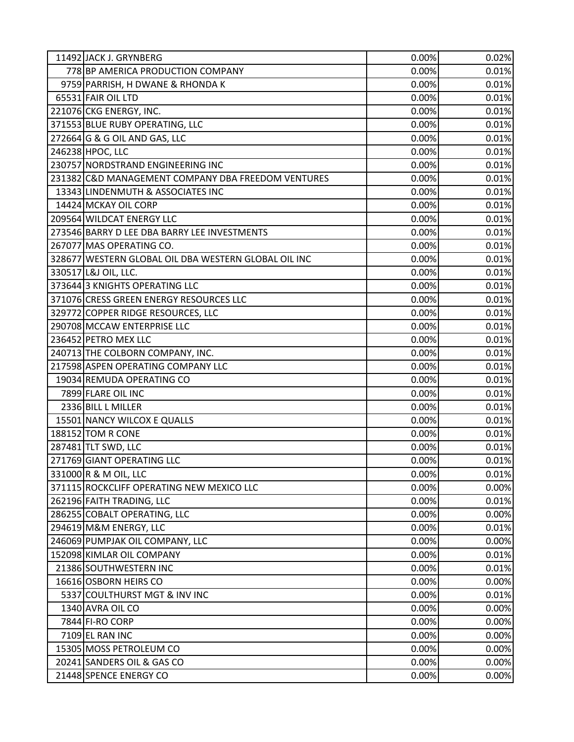| 11492 JACK J. GRYNBERG                               | 0.00% | 0.02% |
|------------------------------------------------------|-------|-------|
| 778 BP AMERICA PRODUCTION COMPANY                    | 0.00% | 0.01% |
| 9759 PARRISH, H DWANE & RHONDA K                     | 0.00% | 0.01% |
| 65531 FAIR OIL LTD                                   | 0.00% | 0.01% |
| 221076 CKG ENERGY, INC.                              | 0.00% | 0.01% |
| 371553 BLUE RUBY OPERATING, LLC                      | 0.00% | 0.01% |
| 272664 G & G OIL AND GAS, LLC                        | 0.00% | 0.01% |
| 246238 HPOC, LLC                                     | 0.00% | 0.01% |
| 230757 NORDSTRAND ENGINEERING INC                    | 0.00% | 0.01% |
| 231382 C&D MANAGEMENT COMPANY DBA FREEDOM VENTURES   | 0.00% | 0.01% |
| 13343 LINDENMUTH & ASSOCIATES INC                    | 0.00% | 0.01% |
| 14424 MCKAY OIL CORP                                 | 0.00% | 0.01% |
| 209564 WILDCAT ENERGY LLC                            | 0.00% | 0.01% |
| 273546 BARRY D LEE DBA BARRY LEE INVESTMENTS         | 0.00% | 0.01% |
| 267077 MAS OPERATING CO.                             | 0.00% | 0.01% |
| 328677 WESTERN GLOBAL OIL DBA WESTERN GLOBAL OIL INC | 0.00% | 0.01% |
| 330517 L&J OIL, LLC.                                 | 0.00% | 0.01% |
| 373644 3 KNIGHTS OPERATING LLC                       | 0.00% | 0.01% |
| 371076 CRESS GREEN ENERGY RESOURCES LLC              | 0.00% | 0.01% |
| 329772 COPPER RIDGE RESOURCES, LLC                   | 0.00% | 0.01% |
| 290708 MCCAW ENTERPRISE LLC                          | 0.00% | 0.01% |
| 236452 PETRO MEX LLC                                 | 0.00% | 0.01% |
| 240713 THE COLBORN COMPANY, INC.                     | 0.00% | 0.01% |
| 217598 ASPEN OPERATING COMPANY LLC                   | 0.00% | 0.01% |
| 19034 REMUDA OPERATING CO                            | 0.00% | 0.01% |
| 7899 FLARE OIL INC                                   | 0.00% | 0.01% |
| 2336 BILL L MILLER                                   | 0.00% | 0.01% |
| 15501 NANCY WILCOX E QUALLS                          | 0.00% | 0.01% |
| 188152 TOM R CONE                                    | 0.00% | 0.01% |
| 287481 TLT SWD, LLC                                  | 0.00% | 0.01% |
| 271769 GIANT OPERATING LLC                           | 0.00% | 0.01% |
| 331000 R & M OIL, LLC                                | 0.00% | 0.01% |
| 371115 ROCKCLIFF OPERATING NEW MEXICO LLC            | 0.00% | 0.00% |
| 262196 FAITH TRADING, LLC                            | 0.00% | 0.01% |
| 286255 COBALT OPERATING, LLC                         | 0.00% | 0.00% |
| 294619 M&M ENERGY, LLC                               | 0.00% | 0.01% |
| 246069 PUMPJAK OIL COMPANY, LLC                      | 0.00% | 0.00% |
| 152098 KIMLAR OIL COMPANY                            | 0.00% | 0.01% |
| 21386 SOUTHWESTERN INC                               | 0.00% | 0.01% |
| 16616 OSBORN HEIRS CO                                | 0.00% | 0.00% |
| 5337 COULTHURST MGT & INV INC                        | 0.00% | 0.01% |
| 1340 AVRA OIL CO                                     | 0.00% | 0.00% |
| 7844 FI-RO CORP                                      | 0.00% | 0.00% |
| 7109 EL RAN INC                                      | 0.00% | 0.00% |
| 15305 MOSS PETROLEUM CO                              | 0.00% | 0.00% |
| 20241 SANDERS OIL & GAS CO                           | 0.00% | 0.00% |
| 21448 SPENCE ENERGY CO                               | 0.00% | 0.00% |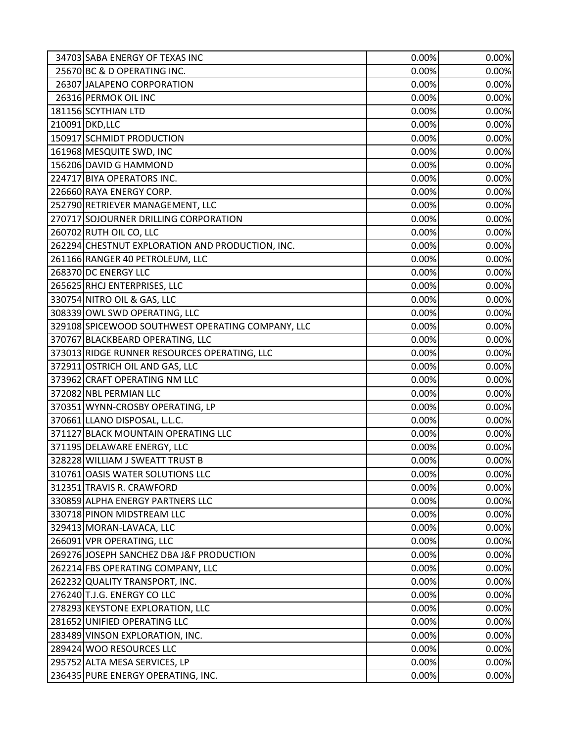| 34703 SABA ENERGY OF TEXAS INC                    | 0.00% | 0.00% |
|---------------------------------------------------|-------|-------|
| 25670 BC & D OPERATING INC.                       | 0.00% | 0.00% |
| 26307 JALAPENO CORPORATION                        | 0.00% | 0.00% |
| 26316 PERMOK OIL INC                              | 0.00% | 0.00% |
| 181156 SCYTHIAN LTD                               | 0.00% | 0.00% |
| 210091 DKD, LLC                                   | 0.00% | 0.00% |
| 150917 SCHMIDT PRODUCTION                         | 0.00% | 0.00% |
| 161968 MESQUITE SWD, INC                          | 0.00% | 0.00% |
| 156206 DAVID G HAMMOND                            | 0.00% | 0.00% |
| 224717 BIYA OPERATORS INC.                        | 0.00% | 0.00% |
| 226660 RAYA ENERGY CORP.                          | 0.00% | 0.00% |
| 252790 RETRIEVER MANAGEMENT, LLC                  | 0.00% | 0.00% |
| 270717 SOJOURNER DRILLING CORPORATION             | 0.00% | 0.00% |
| 260702 RUTH OIL CO, LLC                           | 0.00% | 0.00% |
| 262294 CHESTNUT EXPLORATION AND PRODUCTION, INC.  | 0.00% | 0.00% |
| 261166 RANGER 40 PETROLEUM, LLC                   | 0.00% | 0.00% |
| 268370 DC ENERGY LLC                              | 0.00% | 0.00% |
| 265625 RHCJ ENTERPRISES, LLC                      | 0.00% | 0.00% |
| 330754 NITRO OIL & GAS, LLC                       | 0.00% | 0.00% |
| 308339 OWL SWD OPERATING, LLC                     | 0.00% | 0.00% |
| 329108 SPICEWOOD SOUTHWEST OPERATING COMPANY, LLC | 0.00% | 0.00% |
| 370767 BLACKBEARD OPERATING, LLC                  | 0.00% | 0.00% |
| 373013 RIDGE RUNNER RESOURCES OPERATING, LLC      | 0.00% | 0.00% |
| 372911 OSTRICH OIL AND GAS, LLC                   | 0.00% | 0.00% |
| 373962 CRAFT OPERATING NM LLC                     | 0.00% | 0.00% |
| 372082 NBL PERMIAN LLC                            | 0.00% | 0.00% |
| 370351 WYNN-CROSBY OPERATING, LP                  | 0.00% | 0.00% |
| 370661 LLANO DISPOSAL, L.L.C.                     | 0.00% | 0.00% |
| 371127 BLACK MOUNTAIN OPERATING LLC               | 0.00% | 0.00% |
| 371195 DELAWARE ENERGY, LLC                       | 0.00% | 0.00% |
| 328228 WILLIAM J SWEATT TRUST B                   | 0.00% | 0.00% |
| 310761 OASIS WATER SOLUTIONS LLC                  | 0.00% | 0.00% |
| 312351 TRAVIS R. CRAWFORD                         | 0.00% | 0.00% |
| 330859 ALPHA ENERGY PARTNERS LLC                  | 0.00% | 0.00% |
| 330718 PINON MIDSTREAM LLC                        | 0.00% | 0.00% |
| 329413 MORAN-LAVACA, LLC                          | 0.00% | 0.00% |
| 266091 VPR OPERATING, LLC                         | 0.00% | 0.00% |
| 269276 JOSEPH SANCHEZ DBA J&F PRODUCTION          | 0.00% | 0.00% |
| 262214 FBS OPERATING COMPANY, LLC                 | 0.00% | 0.00% |
| 262232 QUALITY TRANSPORT, INC.                    | 0.00% | 0.00% |
| 276240 T.J.G. ENERGY CO LLC                       | 0.00% | 0.00% |
| 278293 KEYSTONE EXPLORATION, LLC                  | 0.00% | 0.00% |
| 281652 UNIFIED OPERATING LLC                      | 0.00% | 0.00% |
| 283489 VINSON EXPLORATION, INC.                   | 0.00% | 0.00% |
| 289424 WOO RESOURCES LLC                          | 0.00% | 0.00% |
| 295752 ALTA MESA SERVICES, LP                     | 0.00% | 0.00% |
| 236435 PURE ENERGY OPERATING, INC.                | 0.00% | 0.00% |